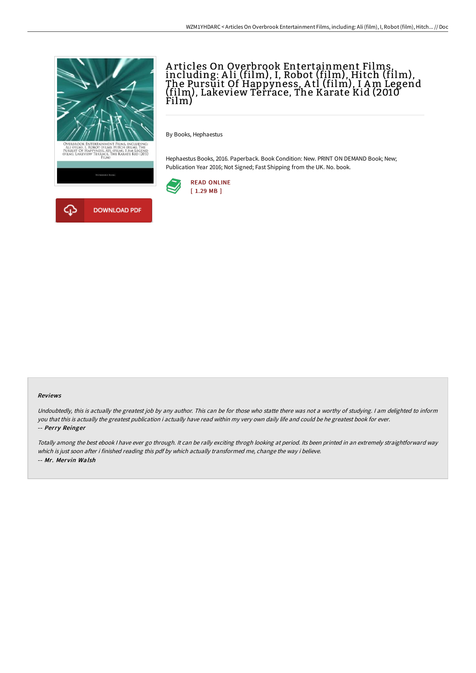

# A rticles On Overbrook Entertainment Films, including: A li (film), I, Robot (film), Hitch (film), The Pursuit Of Happyness, A tl (film), I Am Legend (film), Lakeview Terrace, The Karate Kid (2010 Film)

By Books, Hephaestus

Hephaestus Books, 2016. Paperback. Book Condition: New. PRINT ON DEMAND Book; New; Publication Year 2016; Not Signed; Fast Shipping from the UK. No. book.



#### Reviews

Undoubtedly, this is actually the greatest job by any author. This can be for those who statte there was not <sup>a</sup> worthy of studying. <sup>I</sup> am delighted to inform you that this is actually the greatest publication i actually have read within my very own daily life and could be he greatest book for ever. -- Perry Reinger

Totally among the best ebook <sup>I</sup> have ever go through. It can be rally exciting throgh looking at period. Its been printed in an extremely straightforward way which is just soon after i finished reading this pdf by which actually transformed me, change the way i believe. -- Mr. Mervin Walsh